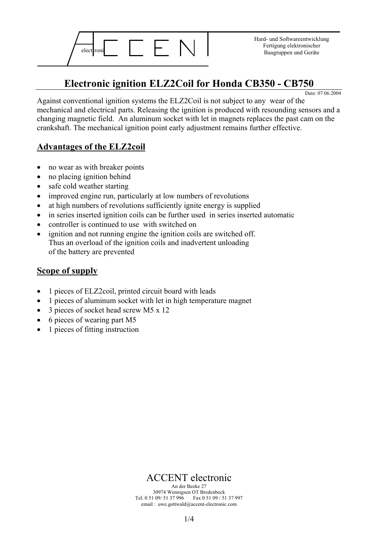

Hard- und Softwareentwicklung Fertigung elektronischer

## **Electronic ignition ELZ2Coil for Honda CB350 - CB750**

Date: 07.06.2004

Against conventional ignition systems the ELZ2Coil is not subject to any wear of the mechanical and electrical parts. Releasing the ignition is produced with resounding sensors and a changing magnetic field. An aluminum socket with let in magnets replaces the past cam on the crankshaft. The mechanical ignition point early adjustment remains further effective.

#### **Advantages of the ELZ2coil**

- no wear as with breaker points
- no placing ignition behind
- safe cold weather starting
- improved engine run, particularly at low numbers of revolutions
- at high numbers of revolutions sufficiently ignite energy is supplied
- in series inserted ignition coils can be further used in series inserted automatic
- controller is continued to use with switched on
- ignition and not running engine the ignition coils are switched off. Thus an overload of the ignition coils and inadvertent unloading of the battery are prevented

#### **Scope of supply**

- 1 pieces of ELZ2coil, printed circuit board with leads
- 1 pieces of aluminum socket with let in high temperature magnet
- 3 pieces of socket head screw M5 x 12
- 6 pieces of wearing part M5
- 1 pieces of fitting instruction

ACCENT electronic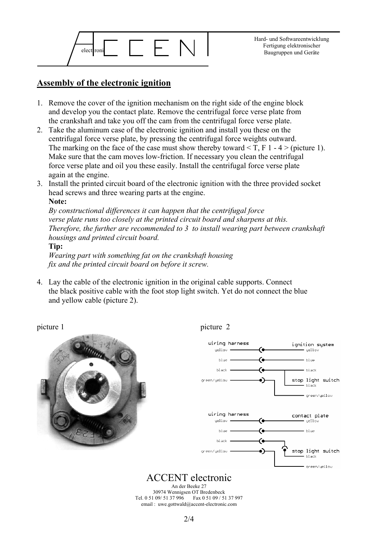

#### **Assembly of the electronic ignition**

- 1. Remove the cover of the ignition mechanism on the right side of the engine block and develop you the contact plate. Remove the centrifugal force verse plate from the crankshaft and take you off the cam from the centrifugal force verse plate.
- 2. Take the aluminum case of the electronic ignition and install you these on the centrifugal force verse plate, by pressing the centrifugal force weights outward. The marking on the face of the case must show thereby toward  $\leq T$ , F 1 - 4  $\geq$  (picture 1). Make sure that the cam moves low-friction. If necessary you clean the centrifugal force verse plate and oil you these easily. Install the centrifugal force verse plate again at the engine.
- 3. Install the printed circuit board of the electronic ignition with the three provided socket head screws and three wearing parts at the engine. **Note:**

*By constructional differences it can happen that the centrifugal force verse plate runs too closely at the printed circuit board and sharpens at this. Therefore, the further are recommended to 3 to install wearing part between crankshaft housings and printed circuit board.* 

**Tip:**

*Wearing part with something fat on the crankshaft housing fix and the printed circuit board on before it screw.*

4. Lay the cable of the electronic ignition in the original cable supports. Connect the black positive cable with the foot stop light switch. Yet do not connect the blue and yellow cable (picture 2).







ACCENT electronic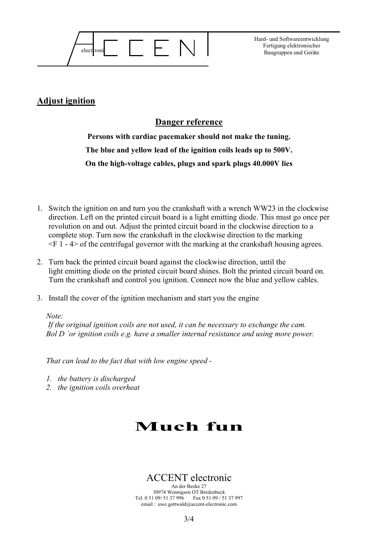

Hard- und Softwareentwicklung Fertigung elektronischer

#### **Adjust ignition**

#### **Danger reference**

**Persons with cardiac pacemaker should not make the tuning. The blue and yellow lead of the ignition coils leads up to 500V. On the high-voltage cables, plugs and spark plugs 40.000V lies** 

- 1. Switch the ignition on and turn you the crankshaft with a wrench WW23 in the clockwise direction. Left on the printed circuit board is a light emitting diode. This must go once per revolution on and out. Adjust the printed circuit board in the clockwise direction to a complete stop. Turn now the crankshaft in the clockwise direction to the marking  $\leq$ F 1 - 4 of the centrifugal governor with the marking at the crankshaft housing agrees.
- 2. Turn back the printed circuit board against the clockwise direction, until the light emitting diode on the printed circuit board shines. Bolt the printed circuit board on. Turn the crankshaft and control you ignition. Connect now the blue and yellow cables.
- 3. Install the cover of the ignition mechanism and start you the engine

#### *Note:*

 *If the original ignition coils are not used, it can be necessary to exchange the cam. Bol D `or ignition coils e.g. have a smaller internal resistance and using more power.* 

*That can lead to the fact that with low engine speed -* 

- *1. the battery is discharged*
- *2. the ignition coils overheat*

# **Much fun**

### ACCENT electronic